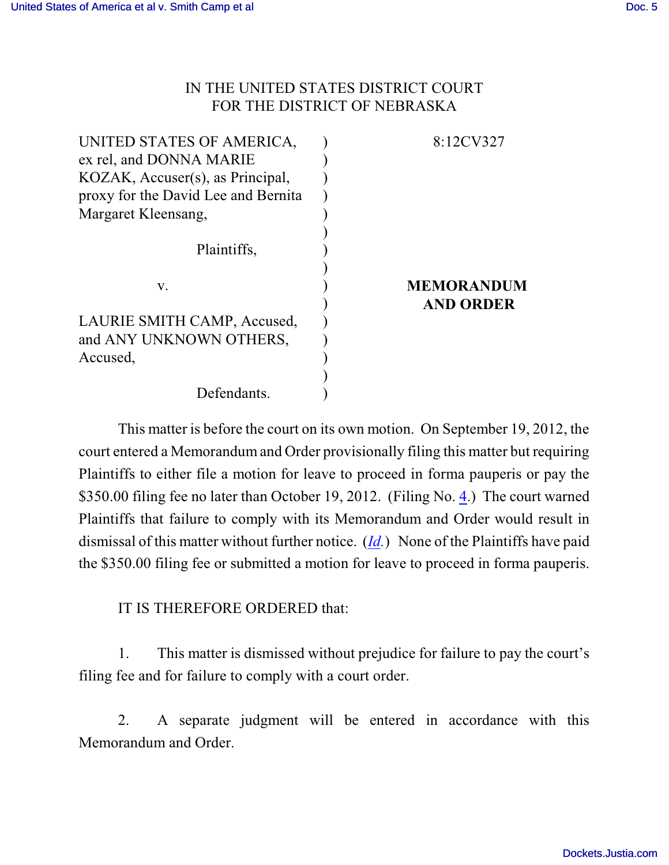## IN THE UNITED STATES DISTRICT COURT FOR THE DISTRICT OF NEBRASKA

| UNITED STATES OF AMERICA,           | 8:12CV327         |
|-------------------------------------|-------------------|
| ex rel, and DONNA MARIE             |                   |
| KOZAK, Accuser(s), as Principal,    |                   |
| proxy for the David Lee and Bernita |                   |
| Margaret Kleensang,                 |                   |
|                                     |                   |
| Plaintiffs,                         |                   |
|                                     |                   |
| V.                                  | <b>MEMORANDUM</b> |
|                                     | <b>AND ORDER</b>  |
| LAURIE SMITH CAMP, Accused,         |                   |
| and ANY UNKNOWN OTHERS,             |                   |
| Accused,                            |                   |
|                                     |                   |
| Defendants.                         |                   |

This matter is before the court on its own motion. On September 19, 2012, the court entered a Memorandum and Order provisionally filing this matter but requiring Plaintiffs to either file a motion for leave to proceed in forma pauperis or pay the \$350.00 filing fee no later than October 19, 2012. (Filing No. [4](https://ecf.ned.uscourts.gov/doc1/11312611959).) The court warned Plaintiffs that failure to comply with its Memorandum and Order would result in dismissal of this matter without further notice. (*[Id](https://ecf.ned.uscourts.gov/doc1/11312611959).*) None of the Plaintiffs have paid the \$350.00 filing fee or submitted a motion for leave to proceed in forma pauperis.

IT IS THEREFORE ORDERED that:

1. This matter is dismissed without prejudice for failure to pay the court's filing fee and for failure to comply with a court order.

2. A separate judgment will be entered in accordance with this Memorandum and Order.